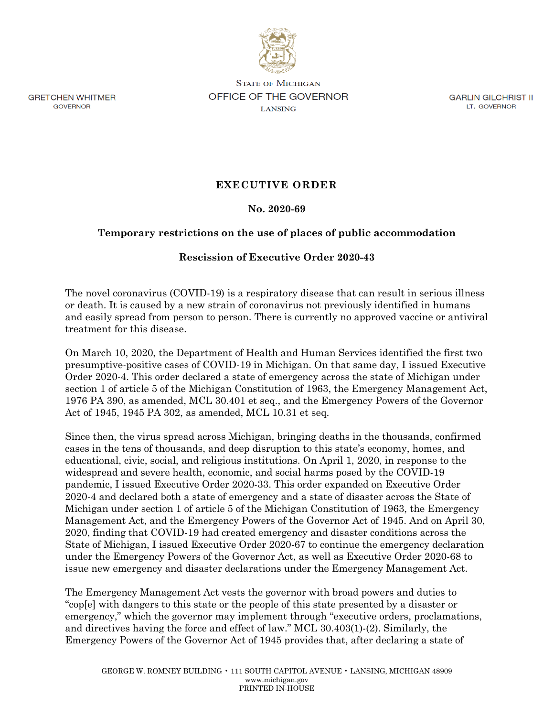

**GRETCHEN WHITMER** GOVERNOR

**STATE OF MICHIGAN OFFICE OF THE GOVERNOR LANSING** 

GARLIN GILCHRIST II LT. GOVERNOR

## **EXECUTIVE ORDER**

## **No. 2020-69**

## **Temporary restrictions on the use of places of public accommodation**

## **Rescission of Executive Order 2020-43**

The novel coronavirus (COVID-19) is a respiratory disease that can result in serious illness or death. It is caused by a new strain of coronavirus not previously identified in humans and easily spread from person to person. There is currently no approved vaccine or antiviral treatment for this disease.

On March 10, 2020, the Department of Health and Human Services identified the first two presumptive-positive cases of COVID-19 in Michigan. On that same day, I issued Executive Order 2020-4. This order declared a state of emergency across the state of Michigan under section 1 of article 5 of the Michigan Constitution of 1963, the Emergency Management Act, 1976 PA 390, as amended, MCL 30.401 et seq., and the Emergency Powers of the Governor Act of 1945, 1945 PA 302, as amended, MCL 10.31 et seq.

Since then, the virus spread across Michigan, bringing deaths in the thousands, confirmed cases in the tens of thousands, and deep disruption to this state's economy, homes, and educational, civic, social, and religious institutions. On April 1, 2020, in response to the widespread and severe health, economic, and social harms posed by the COVID-19 pandemic, I issued Executive Order 2020-33. This order expanded on Executive Order 2020-4 and declared both a state of emergency and a state of disaster across the State of Michigan under section 1 of article 5 of the Michigan Constitution of 1963, the Emergency Management Act, and the Emergency Powers of the Governor Act of 1945. And on April 30, 2020, finding that COVID-19 had created emergency and disaster conditions across the State of Michigan, I issued Executive Order 2020-67 to continue the emergency declaration under the Emergency Powers of the Governor Act, as well as Executive Order 2020-68 to issue new emergency and disaster declarations under the Emergency Management Act.

The Emergency Management Act vests the governor with broad powers and duties to "cop[e] with dangers to this state or the people of this state presented by a disaster or emergency," which the governor may implement through "executive orders, proclamations, and directives having the force and effect of law." MCL 30.403(1)-(2). Similarly, the Emergency Powers of the Governor Act of 1945 provides that, after declaring a state of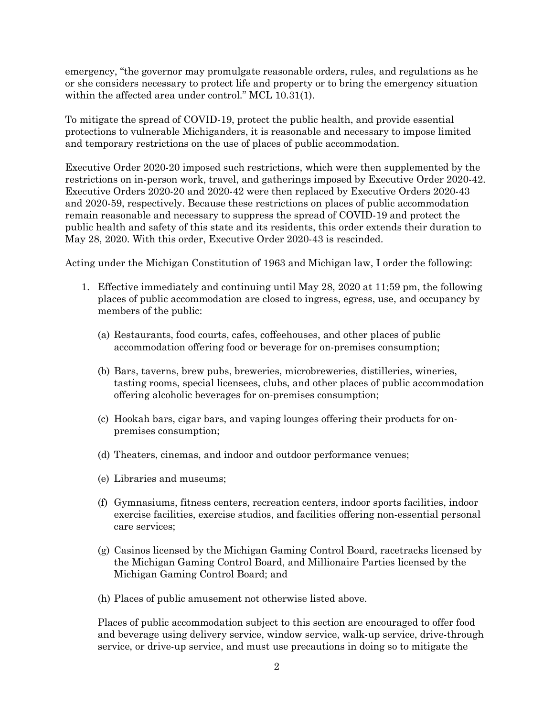emergency, "the governor may promulgate reasonable orders, rules, and regulations as he or she considers necessary to protect life and property or to bring the emergency situation within the affected area under control." MCL 10.31(1).

To mitigate the spread of COVID-19, protect the public health, and provide essential protections to vulnerable Michiganders, it is reasonable and necessary to impose limited and temporary restrictions on the use of places of public accommodation.

Executive Order 2020-20 imposed such restrictions, which were then supplemented by the restrictions on in-person work, travel, and gatherings imposed by Executive Order 2020-42. Executive Orders 2020-20 and 2020-42 were then replaced by Executive Orders 2020-43 and 2020-59, respectively. Because these restrictions on places of public accommodation remain reasonable and necessary to suppress the spread of COVID-19 and protect the public health and safety of this state and its residents, this order extends their duration to May 28, 2020. With this order, Executive Order 2020-43 is rescinded.

Acting under the Michigan Constitution of 1963 and Michigan law, I order the following:

- 1. Effective immediately and continuing until May 28, 2020 at 11:59 pm, the following places of public accommodation are closed to ingress, egress, use, and occupancy by members of the public:
	- (a) Restaurants, food courts, cafes, coffeehouses, and other places of public accommodation offering food or beverage for on-premises consumption;
	- (b) Bars, taverns, brew pubs, breweries, microbreweries, distilleries, wineries, tasting rooms, special licensees, clubs, and other places of public accommodation offering alcoholic beverages for on-premises consumption;
	- (c) Hookah bars, cigar bars, and vaping lounges offering their products for onpremises consumption;
	- (d) Theaters, cinemas, and indoor and outdoor performance venues;
	- (e) Libraries and museums;
	- (f) Gymnasiums, fitness centers, recreation centers, indoor sports facilities, indoor exercise facilities, exercise studios, and facilities offering non-essential personal care services;
	- (g) Casinos licensed by the Michigan Gaming Control Board, racetracks licensed by the Michigan Gaming Control Board, and Millionaire Parties licensed by the Michigan Gaming Control Board; and
	- (h) Places of public amusement not otherwise listed above.

Places of public accommodation subject to this section are encouraged to offer food and beverage using delivery service, window service, walk-up service, drive-through service, or drive-up service, and must use precautions in doing so to mitigate the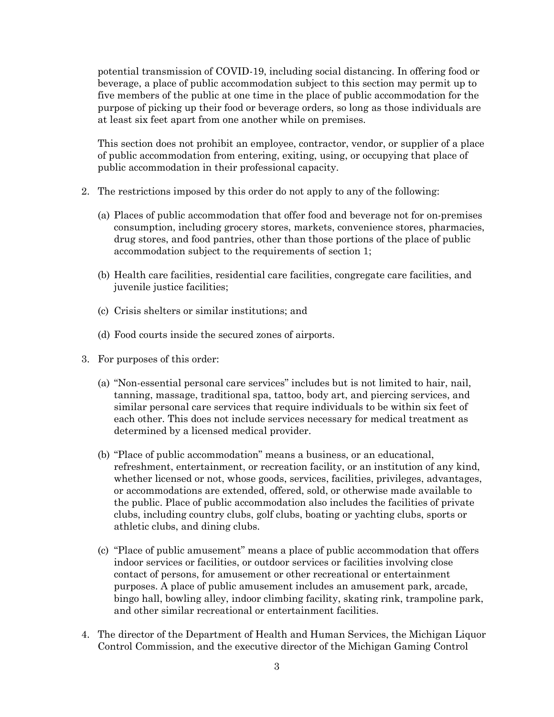potential transmission of COVID-19, including social distancing. In offering food or beverage, a place of public accommodation subject to this section may permit up to five members of the public at one time in the place of public accommodation for the purpose of picking up their food or beverage orders, so long as those individuals are at least six feet apart from one another while on premises.

This section does not prohibit an employee, contractor, vendor, or supplier of a place of public accommodation from entering, exiting, using, or occupying that place of public accommodation in their professional capacity.

- 2. The restrictions imposed by this order do not apply to any of the following:
	- (a) Places of public accommodation that offer food and beverage not for on-premises consumption, including grocery stores, markets, convenience stores, pharmacies, drug stores, and food pantries, other than those portions of the place of public accommodation subject to the requirements of section 1;
	- (b) Health care facilities, residential care facilities, congregate care facilities, and juvenile justice facilities;
	- (c) Crisis shelters or similar institutions; and
	- (d) Food courts inside the secured zones of airports.
- 3. For purposes of this order:
	- (a) "Non-essential personal care services" includes but is not limited to hair, nail, tanning, massage, traditional spa, tattoo, body art, and piercing services, and similar personal care services that require individuals to be within six feet of each other. This does not include services necessary for medical treatment as determined by a licensed medical provider.
	- (b) "Place of public accommodation" means a business, or an educational, refreshment, entertainment, or recreation facility, or an institution of any kind, whether licensed or not, whose goods, services, facilities, privileges, advantages, or accommodations are extended, offered, sold, or otherwise made available to the public. Place of public accommodation also includes the facilities of private clubs, including country clubs, golf clubs, boating or yachting clubs, sports or athletic clubs, and dining clubs.
	- (c) "Place of public amusement" means a place of public accommodation that offers indoor services or facilities, or outdoor services or facilities involving close contact of persons, for amusement or other recreational or entertainment purposes. A place of public amusement includes an amusement park, arcade, bingo hall, bowling alley, indoor climbing facility, skating rink, trampoline park, and other similar recreational or entertainment facilities.
- 4. The director of the Department of Health and Human Services, the Michigan Liquor Control Commission, and the executive director of the Michigan Gaming Control